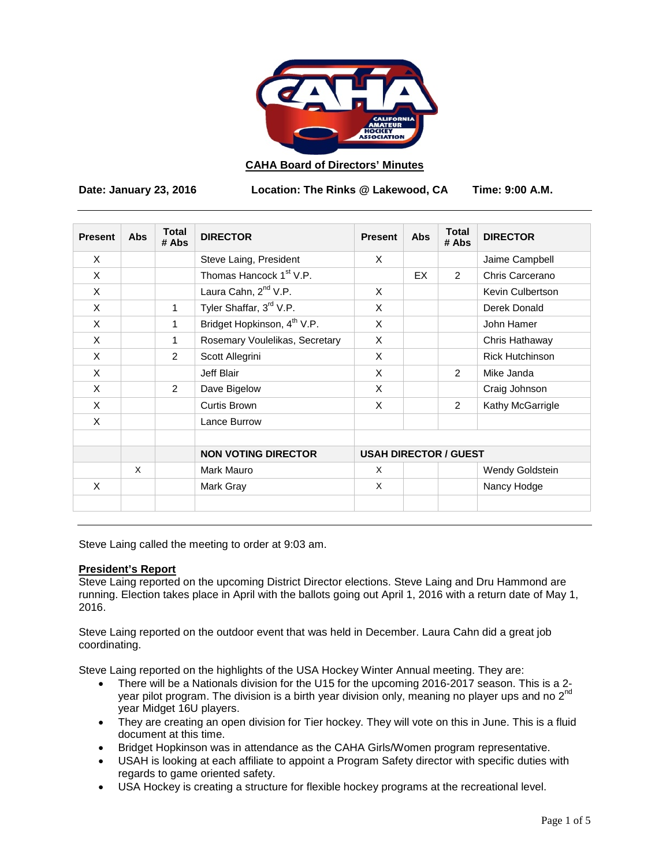

## **CAHA Board of Directors' Minutes**

**Date: January 23, 2016 Location: The Rinks @ Lakewood, CA Time: 9:00 A.M.**

| <b>Present</b> | Abs      | <b>Total</b><br># Abs | <b>DIRECTOR</b>                         | <b>Present</b>               | Abs | <b>Total</b><br># Abs | <b>DIRECTOR</b>        |
|----------------|----------|-----------------------|-----------------------------------------|------------------------------|-----|-----------------------|------------------------|
| X              |          |                       | Steve Laing, President                  | X                            |     |                       | Jaime Campbell         |
| X              |          |                       | Thomas Hancock 1 <sup>st</sup> V.P.     |                              | EX  | 2                     | Chris Carcerano        |
| X              |          |                       | Laura Cahn, 2 <sup>nd</sup> V.P.        | X                            |     |                       | Kevin Culbertson       |
| X              |          | 1                     | Tyler Shaffar, 3rd V.P.                 | X                            |     |                       | Derek Donald           |
| X              |          | 1                     | Bridget Hopkinson, 4 <sup>th</sup> V.P. | X                            |     |                       | John Hamer             |
| X              |          | 1                     | Rosemary Voulelikas, Secretary          | X                            |     |                       | Chris Hathaway         |
| X              |          | $\mathcal{P}$         | Scott Allegrini                         | X                            |     |                       | <b>Rick Hutchinson</b> |
| X              |          |                       | Jeff Blair                              | X                            |     | 2                     | Mike Janda             |
| X              |          | $\overline{2}$        | Dave Bigelow                            | X                            |     |                       | Craig Johnson          |
| X              |          |                       | Curtis Brown                            | X                            |     | 2                     | Kathy McGarrigle       |
| X              |          |                       | Lance Burrow                            |                              |     |                       |                        |
|                |          |                       | <b>NON VOTING DIRECTOR</b>              | <b>USAH DIRECTOR / GUEST</b> |     |                       |                        |
|                | $\times$ |                       | Mark Mauro                              | X                            |     |                       | Wendy Goldstein        |
| X              |          |                       | Mark Gray                               | X                            |     |                       | Nancy Hodge            |

Steve Laing called the meeting to order at 9:03 am.

#### **President's Report**

Steve Laing reported on the upcoming District Director elections. Steve Laing and Dru Hammond are running. Election takes place in April with the ballots going out April 1, 2016 with a return date of May 1, 2016.

Steve Laing reported on the outdoor event that was held in December. Laura Cahn did a great job coordinating.

Steve Laing reported on the highlights of the USA Hockey Winter Annual meeting. They are:

- There will be a Nationals division for the U15 for the upcoming 2016-2017 season. This is a 2 year pilot program. The division is a birth year division only, meaning no player ups and no  $2^{nd}$ year Midget 16U players.
- They are creating an open division for Tier hockey. They will vote on this in June. This is a fluid document at this time.
- Bridget Hopkinson was in attendance as the CAHA Girls/Women program representative.
- USAH is looking at each affiliate to appoint a Program Safety director with specific duties with regards to game oriented safety.
- USA Hockey is creating a structure for flexible hockey programs at the recreational level.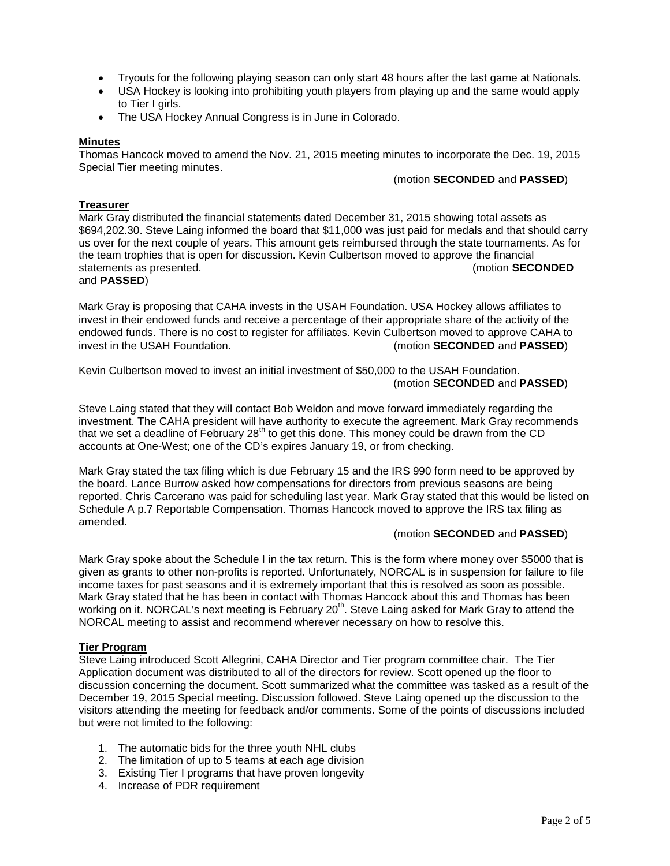- Tryouts for the following playing season can only start 48 hours after the last game at Nationals.
- USA Hockey is looking into prohibiting youth players from playing up and the same would apply to Tier I girls.
- The USA Hockey Annual Congress is in June in Colorado.

#### **Minutes**

Thomas Hancock moved to amend the Nov. 21, 2015 meeting minutes to incorporate the Dec. 19, 2015 Special Tier meeting minutes.

#### (motion **SECONDED** and **PASSED**)

# **Treasurer**

Mark Gray distributed the financial statements dated December 31, 2015 showing total assets as \$694,202.30. Steve Laing informed the board that \$11,000 was just paid for medals and that should carry us over for the next couple of years. This amount gets reimbursed through the state tournaments. As for the team trophies that is open for discussion. Kevin Culbertson moved to approve the financial<br>statements as presented. (motion **SECONDED** statements as presented. and **PASSED**)

# Mark Gray is proposing that CAHA invests in the USAH Foundation. USA Hockey allows affiliates to invest in their endowed funds and receive a percentage of their appropriate share of the activity of the endowed funds. There is no cost to register for affiliates. Kevin Culbertson moved to approve CAHA to<br>(motion SECONDED and PASSED) (motion **SECONDED** and **PASSED**)

Kevin Culbertson moved to invest an initial investment of \$50,000 to the USAH Foundation. (motion **SECONDED** and **PASSED**)

Steve Laing stated that they will contact Bob Weldon and move forward immediately regarding the investment. The CAHA president will have authority to execute the agreement. Mark Gray recommends that we set a deadline of February  $28<sup>th</sup>$  to get this done. This money could be drawn from the CD accounts at One-West; one of the CD's expires January 19, or from checking.

Mark Gray stated the tax filing which is due February 15 and the IRS 990 form need to be approved by the board. Lance Burrow asked how compensations for directors from previous seasons are being reported. Chris Carcerano was paid for scheduling last year. Mark Gray stated that this would be listed on Schedule A p.7 Reportable Compensation. Thomas Hancock moved to approve the IRS tax filing as amended.

### (motion **SECONDED** and **PASSED**)

Mark Gray spoke about the Schedule I in the tax return. This is the form where money over \$5000 that is given as grants to other non-profits is reported. Unfortunately, NORCAL is in suspension for failure to file income taxes for past seasons and it is extremely important that this is resolved as soon as possible. Mark Gray stated that he has been in contact with Thomas Hancock about this and Thomas has been working on it. NORCAL's next meeting is February 20<sup>th</sup>. Steve Laing asked for Mark Gray to attend the NORCAL meeting to assist and recommend wherever necessary on how to resolve this.

### **Tier Program**

Steve Laing introduced Scott Allegrini, CAHA Director and Tier program committee chair. The Tier Application document was distributed to all of the directors for review. Scott opened up the floor to discussion concerning the document. Scott summarized what the committee was tasked as a result of the December 19, 2015 Special meeting. Discussion followed. Steve Laing opened up the discussion to the visitors attending the meeting for feedback and/or comments. Some of the points of discussions included but were not limited to the following:

- 1. The automatic bids for the three youth NHL clubs
- 2. The limitation of up to 5 teams at each age division
- 3. Existing Tier I programs that have proven longevity
- 4. Increase of PDR requirement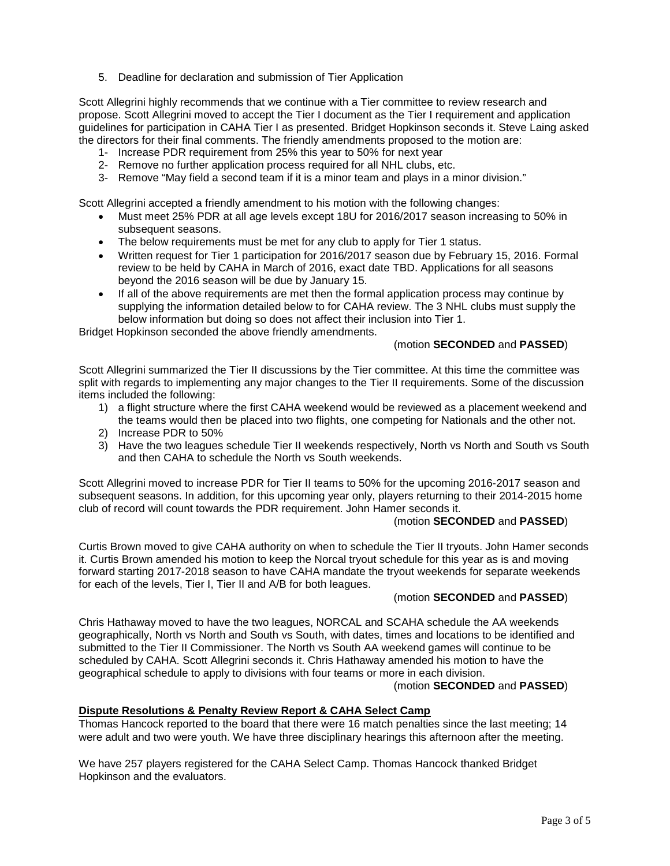5. Deadline for declaration and submission of Tier Application

Scott Allegrini highly recommends that we continue with a Tier committee to review research and propose. Scott Allegrini moved to accept the Tier I document as the Tier I requirement and application guidelines for participation in CAHA Tier I as presented. Bridget Hopkinson seconds it. Steve Laing asked the directors for their final comments. The friendly amendments proposed to the motion are:

- 1- Increase PDR requirement from 25% this year to 50% for next year
- 2- Remove no further application process required for all NHL clubs, etc.
- 3- Remove "May field a second team if it is a minor team and plays in a minor division."

Scott Allegrini accepted a friendly amendment to his motion with the following changes:

- Must meet 25% PDR at all age levels except 18U for 2016/2017 season increasing to 50% in subsequent seasons.
- The below requirements must be met for any club to apply for Tier 1 status.
- Written request for Tier 1 participation for 2016/2017 season due by February 15, 2016. Formal review to be held by CAHA in March of 2016, exact date TBD. Applications for all seasons beyond the 2016 season will be due by January 15.
- If all of the above requirements are met then the formal application process may continue by supplying the information detailed below to for CAHA review. The 3 NHL clubs must supply the below information but doing so does not affect their inclusion into Tier 1.

Bridget Hopkinson seconded the above friendly amendments.

#### (motion **SECONDED** and **PASSED**)

Scott Allegrini summarized the Tier II discussions by the Tier committee. At this time the committee was split with regards to implementing any major changes to the Tier II requirements. Some of the discussion items included the following:

- 1) a flight structure where the first CAHA weekend would be reviewed as a placement weekend and the teams would then be placed into two flights, one competing for Nationals and the other not.
- 2) Increase PDR to 50%
- 3) Have the two leagues schedule Tier II weekends respectively, North vs North and South vs South and then CAHA to schedule the North vs South weekends.

Scott Allegrini moved to increase PDR for Tier II teams to 50% for the upcoming 2016-2017 season and subsequent seasons. In addition, for this upcoming year only, players returning to their 2014-2015 home club of record will count towards the PDR requirement. John Hamer seconds it.

### (motion **SECONDED** and **PASSED**)

Curtis Brown moved to give CAHA authority on when to schedule the Tier II tryouts. John Hamer seconds it. Curtis Brown amended his motion to keep the Norcal tryout schedule for this year as is and moving forward starting 2017-2018 season to have CAHA mandate the tryout weekends for separate weekends for each of the levels, Tier I, Tier II and A/B for both leagues.

### (motion **SECONDED** and **PASSED**)

Chris Hathaway moved to have the two leagues, NORCAL and SCAHA schedule the AA weekends geographically, North vs North and South vs South, with dates, times and locations to be identified and submitted to the Tier II Commissioner. The North vs South AA weekend games will continue to be scheduled by CAHA. Scott Allegrini seconds it. Chris Hathaway amended his motion to have the geographical schedule to apply to divisions with four teams or more in each division.

#### (motion **SECONDED** and **PASSED**)

### **Dispute Resolutions & Penalty Review Report & CAHA Select Camp**

Thomas Hancock reported to the board that there were 16 match penalties since the last meeting; 14 were adult and two were youth. We have three disciplinary hearings this afternoon after the meeting.

We have 257 players registered for the CAHA Select Camp. Thomas Hancock thanked Bridget Hopkinson and the evaluators.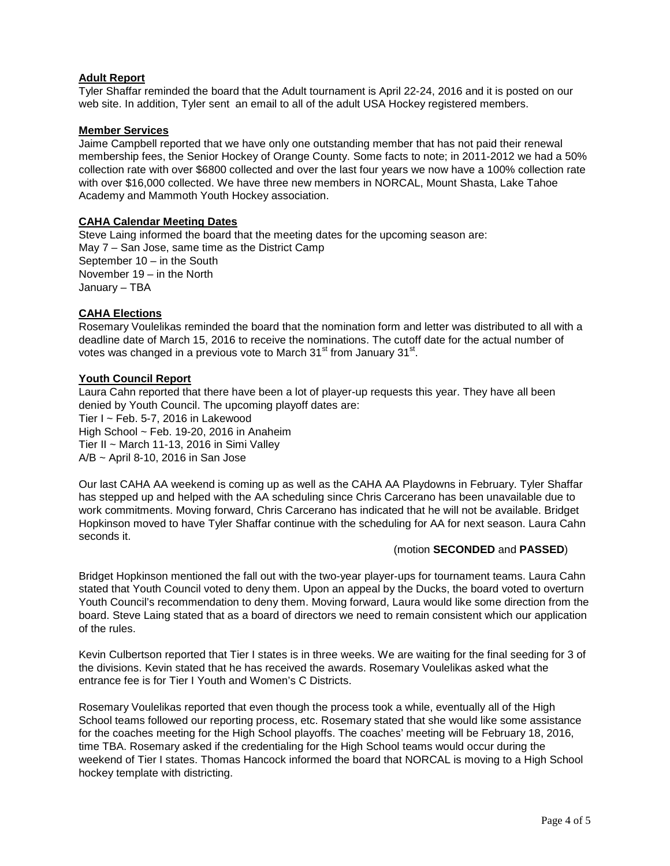# **Adult Report**

Tyler Shaffar reminded the board that the Adult tournament is April 22-24, 2016 and it is posted on our web site. In addition, Tyler sent an email to all of the adult USA Hockey registered members.

#### **Member Services**

Jaime Campbell reported that we have only one outstanding member that has not paid their renewal membership fees, the Senior Hockey of Orange County. Some facts to note; in 2011-2012 we had a 50% collection rate with over \$6800 collected and over the last four years we now have a 100% collection rate with over \$16,000 collected. We have three new members in NORCAL, Mount Shasta, Lake Tahoe Academy and Mammoth Youth Hockey association.

### **CAHA Calendar Meeting Dates**

Steve Laing informed the board that the meeting dates for the upcoming season are: May 7 – San Jose, same time as the District Camp September 10 – in the South November 19 – in the North January – TBA

# **CAHA Elections**

Rosemary Voulelikas reminded the board that the nomination form and letter was distributed to all with a deadline date of March 15, 2016 to receive the nominations. The cutoff date for the actual number of votes was changed in a previous vote to March  $31<sup>st</sup>$  from January  $31<sup>st</sup>$ .

# **Youth Council Report**

Laura Cahn reported that there have been a lot of player-up requests this year. They have all been denied by Youth Council. The upcoming playoff dates are: Tier I ~ Feb. 5-7, 2016 in Lakewood High School ~ Feb. 19-20, 2016 in Anaheim Tier II ~ March 11-13, 2016 in Simi Valley A/B ~ April 8-10, 2016 in San Jose

Our last CAHA AA weekend is coming up as well as the CAHA AA Playdowns in February. Tyler Shaffar has stepped up and helped with the AA scheduling since Chris Carcerano has been unavailable due to work commitments. Moving forward, Chris Carcerano has indicated that he will not be available. Bridget Hopkinson moved to have Tyler Shaffar continue with the scheduling for AA for next season. Laura Cahn seconds it.

### (motion **SECONDED** and **PASSED**)

Bridget Hopkinson mentioned the fall out with the two-year player-ups for tournament teams. Laura Cahn stated that Youth Council voted to deny them. Upon an appeal by the Ducks, the board voted to overturn Youth Council's recommendation to deny them. Moving forward, Laura would like some direction from the board. Steve Laing stated that as a board of directors we need to remain consistent which our application of the rules.

Kevin Culbertson reported that Tier I states is in three weeks. We are waiting for the final seeding for 3 of the divisions. Kevin stated that he has received the awards. Rosemary Voulelikas asked what the entrance fee is for Tier I Youth and Women's C Districts.

Rosemary Voulelikas reported that even though the process took a while, eventually all of the High School teams followed our reporting process, etc. Rosemary stated that she would like some assistance for the coaches meeting for the High School playoffs. The coaches' meeting will be February 18, 2016, time TBA. Rosemary asked if the credentialing for the High School teams would occur during the weekend of Tier I states. Thomas Hancock informed the board that NORCAL is moving to a High School hockey template with districting.